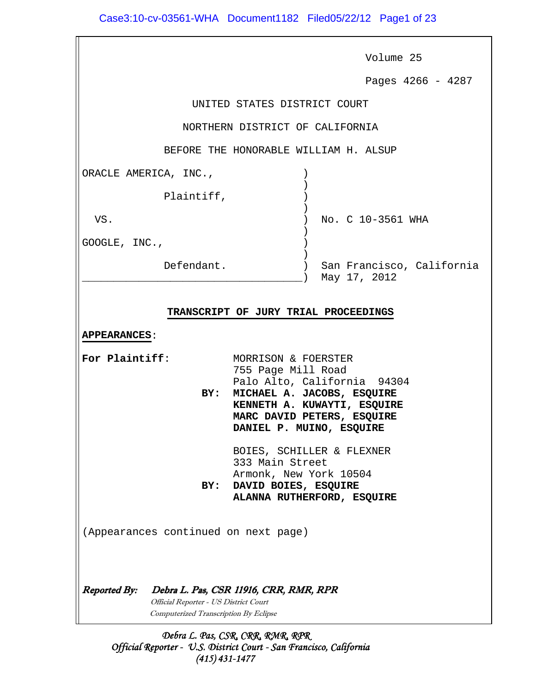|                                       | Volume 25                                                 |
|---------------------------------------|-----------------------------------------------------------|
|                                       | Pages 4266 - 4287                                         |
|                                       | UNITED STATES DISTRICT COURT                              |
|                                       | NORTHERN DISTRICT OF CALIFORNIA                           |
|                                       | BEFORE THE HONORABLE WILLIAM H. ALSUP                     |
| ORACLE AMERICA, INC.,                 |                                                           |
| Plaintiff,                            |                                                           |
| VS.                                   | No. C 10-3561 WHA                                         |
| GOOGLE, INC.,                         |                                                           |
| Defendant.                            | San Francisco, California<br>May 17, 2012                 |
|                                       |                                                           |
|                                       | TRANSCRIPT OF JURY TRIAL PROCEEDINGS                      |
| <b>APPEARANCES:</b>                   |                                                           |
| For Plaintiff:                        | MORRISON & FOERSTER<br>755 Page Mill Road                 |
| BY:                                   | Palo Alto, California 94304<br>MICHAEL A. JACOBS, ESQUIRE |
|                                       | KENNETH A. KUWAYTI, ESQUIRE<br>MARC DAVID PETERS, ESQUIRE |
|                                       | DANIEL P. MUINO, ESQUIRE                                  |
|                                       | BOIES, SCHILLER & FLEXNER<br>333 Main Street              |
|                                       | Armonk, New York 10504                                    |
| BY:                                   | DAVID BOIES, ESQUIRE<br>ALANNA RUTHERFORD, ESQUIRE        |
|                                       |                                                           |
| (Appearances continued on next page)  |                                                           |
|                                       |                                                           |
| <b>Reported By:</b>                   | Debra L. Pas, CSR 11916, CRR, RMR, RPR                    |
| Official Reporter - US District Court |                                                           |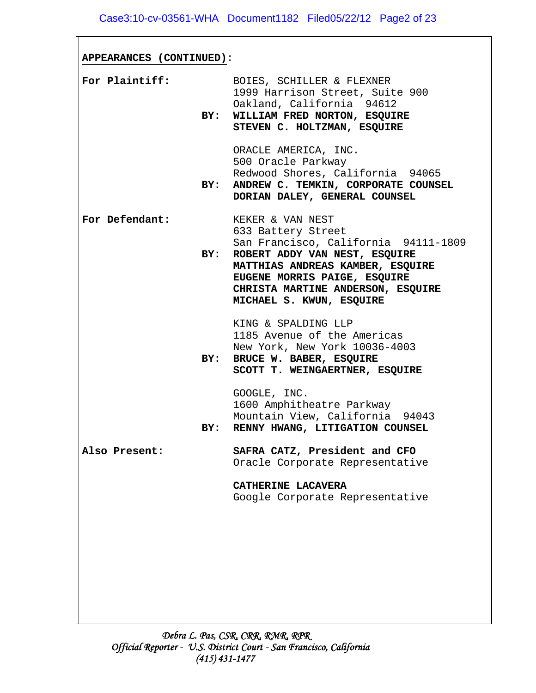| APPEARANCES (CONTINUED): |     |                                                                                                                                                                                                                                                      |
|--------------------------|-----|------------------------------------------------------------------------------------------------------------------------------------------------------------------------------------------------------------------------------------------------------|
| For Plaintiff:           | BY: | BOIES, SCHILLER & FLEXNER<br>1999 Harrison Street, Suite 900<br>Oakland, California 94612<br>WILLIAM FRED NORTON, ESQUIRE<br>STEVEN C. HOLTZMAN, ESQUIRE                                                                                             |
|                          | BY: | ORACLE AMERICA, INC.<br>500 Oracle Parkway<br>Redwood Shores, California 94065<br>ANDREW C. TEMKIN, CORPORATE COUNSEL<br>DORIAN DALEY, GENERAL COUNSEL                                                                                               |
| For Defendant:           | BY: | KEKER & VAN NEST<br>633 Battery Street<br>San Francisco, California 94111-1809<br>ROBERT ADDY VAN NEST, ESQUIRE<br>MATTHIAS ANDREAS KAMBER, ESQUIRE<br>EUGENE MORRIS PAIGE, ESQUIRE<br>CHRISTA MARTINE ANDERSON, ESQUIRE<br>MICHAEL S. KWUN, ESQUIRE |
|                          | BY: | KING & SPALDING LLP<br>1185 Avenue of the Americas<br>New York, New York 10036-4003<br>BRUCE W. BABER, ESQUIRE<br>SCOTT T. WEINGAERTNER, ESQUIRE                                                                                                     |
|                          | BY: | GOOGLE, INC.<br>1600 Amphitheatre Parkway<br>Mountain View, California 94043<br>RENNY HWANG, LITIGATION COUNSEL                                                                                                                                      |
| Also Present:            |     | SAFRA CATZ, President and CFO<br>Oracle Corporate Representative                                                                                                                                                                                     |
|                          |     | CATHERINE LACAVERA<br>Google Corporate Representative                                                                                                                                                                                                |
|                          |     |                                                                                                                                                                                                                                                      |
|                          |     |                                                                                                                                                                                                                                                      |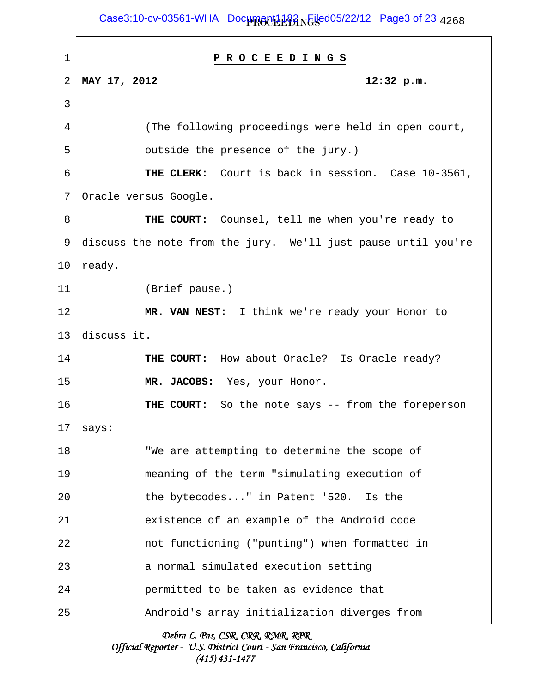Case3:10-cv-03561-WHA Doc<del>umgnt1182 NGsed05/22/12 Page3</del> of 23 <sub>4268</sub>

| 1  | PROCEEDINGS                                                   |
|----|---------------------------------------------------------------|
| 2  | MAY 17, 2012<br>12:32 p.m.                                    |
| 3  |                                                               |
| 4  | (The following proceedings were held in open court,           |
| 5  | outside the presence of the jury.)                            |
| 6  | THE CLERK: Court is back in session. Case 10-3561,            |
| 7  | Oracle versus Google.                                         |
| 8  | THE COURT: Counsel, tell me when you're ready to              |
| 9  | discuss the note from the jury. We'll just pause until you're |
| 10 | ready.                                                        |
| 11 | (Brief pause.)                                                |
| 12 | MR. VAN NEST: I think we're ready your Honor to               |
| 13 | discuss it.                                                   |
| 14 | THE COURT: How about Oracle? Is Oracle ready?                 |
| 15 | MR. JACOBS: Yes, your Honor.                                  |
| 16 | THE COURT: So the note says -- from the foreperson            |
| 17 | says:                                                         |
| 18 | "We are attempting to determine the scope of                  |
| 19 | meaning of the term "simulating execution of                  |
| 20 | the bytecodes" in Patent '520. Is the                         |
| 21 | existence of an example of the Android code                   |
| 22 | not functioning ("punting") when formatted in                 |
| 23 | a normal simulated execution setting                          |
| 24 | permitted to be taken as evidence that                        |
| 25 | Android's array initialization diverges from                  |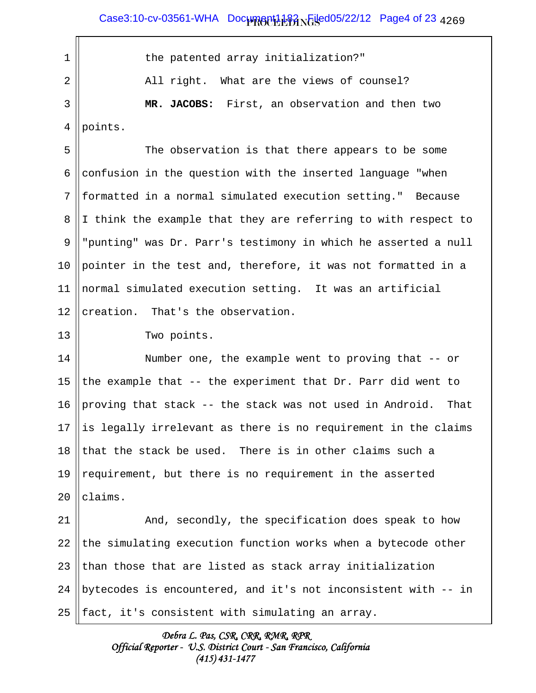Case3:10-cv-03561-WHA Doc<del>umgnt1182 RGU</del>ed05/22/12 Page4 of 23 <sub>4269</sub>

1 || the patented array initialization?" 2 || All right. What are the views of counsel? 3 **MR. JACOBS:** First, an observation and then two 4 | points. 5 The observation is that there appears to be some 6 confusion in the question with the inserted language "when 7 || formatted in a normal simulated execution setting." Because 8 I think the example that they are referring to with respect to 9 "punting" was Dr. Parr's testimony in which he asserted a null 10 || pointer in the test and, therefore, it was not formatted in a 11 normal simulated execution setting. It was an artificial 12  $|$  creation. That's the observation. 13 || Two points. 14 || Number one, the example went to proving that -- or 15 the example that  $-$  the experiment that Dr. Parr did went to 16 proving that stack  $-$ - the stack was not used in Android. That 17 || is legally irrelevant as there is no requirement in the claims 18 that the stack be used. There is in other claims such a 19 || requirement, but there is no requirement in the asserted  $20$  lclaims. 21 | And, secondly, the specification does speak to how 22 the simulating execution function works when a bytecode other 23  $\parallel$  than those that are listed as stack array initialization 24 || bytecodes is encountered, and it's not inconsistent with  $-$  in  $25$  ||fact, it's consistent with simulating an array.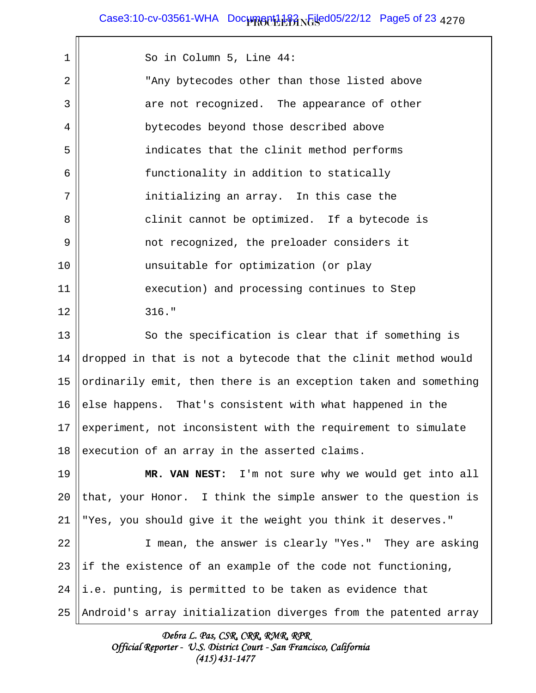Case3:10-cv-03561-WHA Doc<del>umgnt1182 NGsed05/22/12 Page5</del> of 23 <sub>4270</sub>

 1 So in Column 5, Line 44: 2 || Thay bytecodes other than those listed above 3 are not recognized. The appearance of other 4 || bytecodes beyond those described above 5 indicates that the clinit method performs 6 || functionality in addition to statically  $7 \parallel$  initializing an array. In this case the 8 || clinit cannot be optimized. If a bytecode is 9 not recognized, the preloader considers it 10 || unsuitable for optimization (or play 11 | execution) and processing continues to Step  $12 \parallel$  316." 13 || So the specification is clear that if something is 14 dropped in that is not a bytecode that the clinit method would 15 ||ordinarily emit, then there is an exception taken and something 16 else happens. That's consistent with what happened in the 17 experiment, not inconsistent with the requirement to simulate 18 execution of an array in the asserted claims. 19 **MR. VAN NEST:** I'm not sure why we would get into all

20  $\|$  that, your Honor. I think the simple answer to the question is 21 "Yes, you should give it the weight you think it deserves."

22 || I mean, the answer is clearly "Yes." They are asking 23 ||if the existence of an example of the code not functioning,  $24$  ||i.e. punting, is permitted to be taken as evidence that 25 Android's array initialization diverges from the patented array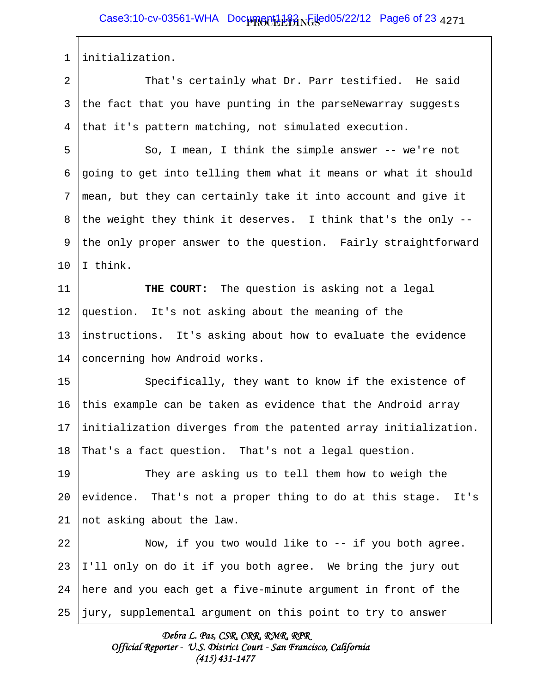1 initialization.

2 || That's certainly what Dr. Parr testified. He said  $3 \parallel$  the fact that you have punting in the parseNewarray suggests 4 that it's pattern matching, not simulated execution.

5 || So, I mean, I think the simple answer -- we're not 6 going to get into telling them what it means or what it should  $7$  ||mean, but they can certainly take it into account and give it 8 || the weight they think it deserves. I think that's the only  $-$ -9 the only proper answer to the question. Fairly straightforward  $10 \parallel I$  think.

11 **THE COURT:** The question is asking not a legal 12 || question. It's not asking about the meaning of the 13  $\parallel$  instructions. It's asking about how to evaluate the evidence 14 Concerning how Android works.

15 || Specifically, they want to know if the existence of 16 this example can be taken as evidence that the Android array 17  $\parallel$  initialization diverges from the patented array initialization. 18 That's a fact question. That's not a legal question.

19 || They are asking us to tell them how to weigh the 20 evidence. That's not a proper thing to do at this stage. It's  $21$  || not asking about the law.

22 || Now, if you two would like to -- if you both agree. ||I'll only on do it if you both agree. We bring the jury out  $\parallel$  here and you each get a five-minute argument in front of the  $\parallel$  jury, supplemental argument on this point to try to answer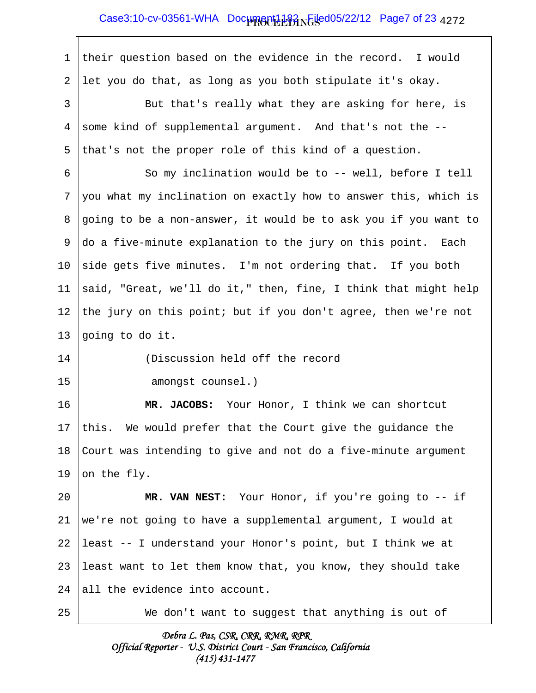$\overline{\mathbb{I}}$ 

| $\mathbf 1$    | their question based on the evidence in the record. I would     |
|----------------|-----------------------------------------------------------------|
| $\overline{a}$ | let you do that, as long as you both stipulate it's okay.       |
| 3              | But that's really what they are asking for here, is             |
| 4              | some kind of supplemental argument. And that's not the --       |
| 5              | that's not the proper role of this kind of a question.          |
| 6              | So my inclination would be to -- well, before I tell            |
| 7              | you what my inclination on exactly how to answer this, which is |
| 8              | going to be a non-answer, it would be to ask you if you want to |
| $\mathsf 9$    | do a five-minute explanation to the jury on this point. Each    |
| 10             | side gets five minutes. I'm not ordering that. If you both      |
| 11             | said, "Great, we'll do it," then, fine, I think that might help |
| 12             | the jury on this point; but if you don't agree, then we're not  |
| 13             | going to do it.                                                 |
| 14             | (Discussion held off the record                                 |
| 15             | amongst counsel.)                                               |
| 16             | MR. JACOBS: Your Honor, I think we can shortcut                 |
| 17             | this. We would prefer that the Court give the guidance the      |
| 18             | Court was intending to give and not do a five-minute argument   |
| 19             | on the fly.                                                     |
| 20             | MR. VAN NEST: Your Honor, if you're going to -- if              |
| 21             | we're not going to have a supplemental argument, I would at     |
| 22             | least -- I understand your Honor's point, but I think we at     |
| 23             | least want to let them know that, you know, they should take    |
| 24             | all the evidence into account.                                  |
| 25             | We don't want to suggest that anything is out of                |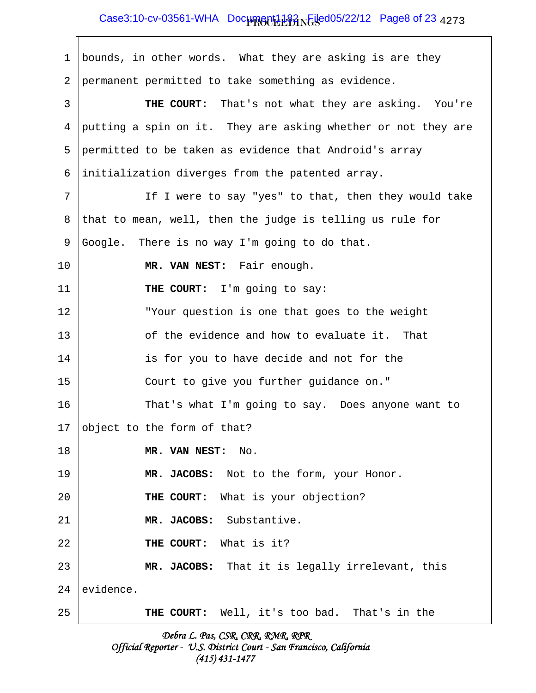## Case3:10-cv-03561-WHA Doc<del>umgnt1182 NGsed05/22/12 Page8</del> of 23 <sub>4273</sub>

1 || bounds, in other words. What they are asking is are they 2 || permanent permitted to take something as evidence. 3 **THE COURT:** That's not what they are asking. You're 4 || putting a spin on it. They are asking whether or not they are 5 permitted to be taken as evidence that Android's array 6 ||initialization diverges from the patented array.  $7 \parallel$  If I were to say "yes" to that, then they would take 8 that to mean, well, then the judge is telling us rule for 9 Google. There is no way I'm going to do that. 10 **MR. VAN NEST:** Fair enough. 11 || THE COURT: I'm going to say: 12 "Your question is one that goes to the weight 13 || comparent controlleright controller and how to evaluate it. That 14 || is for you to have decide and not for the 15 Court to give you further guidance on." 16 || That's what I'm going to say. Does anyone want to 17  $\vert$  object to the form of that? 18 **MR. VAN NEST:** No. 19 **MR. JACOBS:** Not to the form, your Honor. 20 **THE COURT:** What is your objection? 21 **MR. JACOBS:** Substantive. 22 || THE COURT: What is it? 23 **MR. JACOBS:** That it is legally irrelevant, this 24 levidence. 25 **THE COURT:** Well, it's too bad. That's in the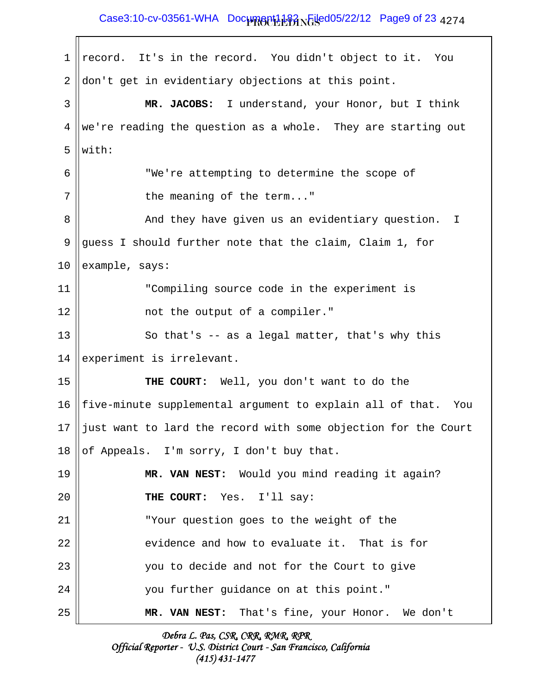## Case3:10-cv-03561-WHA Doc<del>umgnt1182 NGsed05/22/12 Page9</del> of 23 <sub>4274</sub>

 $1 \parallel$  record. It's in the record. You didn't object to it. You  $2 \parallel$ don't get in evidentiary objections at this point. 3 **MR. JACOBS:** I understand, your Honor, but I think 4 ||we're reading the question as a whole. They are starting out 5 with: 6 "We're attempting to determine the scope of  $7 \parallel$  the meaning of the term..." 8 And they have given us an evidentiary question. I 9 guess I should further note that the claim, Claim 1, for  $10$  ||example, says: 11 "Compiling source code in the experiment is 12 || not the output of a compiler."  $13$   $\parallel$  So that's -- as a legal matter, that's why this 14 experiment is irrelevant. 15 **THE COURT:** Well, you don't want to do the 16  $\parallel$  five-minute supplemental argument to explain all of that. You 17  $\parallel$  just want to lard the record with some objection for the Court 18 || of Appeals. I'm sorry, I don't buy that. 19 **MR. VAN NEST:** Would you mind reading it again? 20 **THE COURT:** Yes. I'll say: 21 "Your question goes to the weight of the  $22$   $\parallel$  evidence and how to evaluate it. That is for 23 you to decide and not for the Court to give 24 you further guidance on at this point." 25 **MR. VAN NEST:** That's fine, your Honor. We don't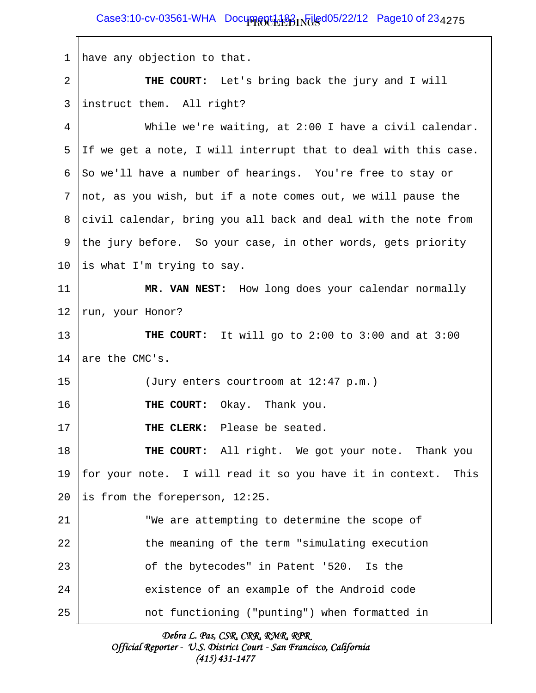1 || have any objection to that. 2 **THE COURT:** Let's bring back the jury and I will  $3$  ||instruct them. All right? 4 While we're waiting, at 2:00 I have a civil calendar. 5 ||If we get a note, I will interrupt that to deal with this case. 6 So we'll have a number of hearings. You're free to stay or  $7$  ||not, as you wish, but if a note comes out, we will pause the 8 civil calendar, bring you all back and deal with the note from 9 the jury before. So your case, in other words, gets priority 10 || is what I'm trying to say. 11 **MR. VAN NEST:** How long does your calendar normally  $12$  run, your Honor? 13 **THE COURT:** It will go to 2:00 to 3:00 and at 3:00 14  $|$  are the CMC's. 15 || (Jury enters courtroom at 12:47 p.m.) 16 **THE COURT:** Okay. Thank you. 17 **THE CLERK:** Please be seated. 18 **THE COURT:** All right. We got your note. Thank you 19 || for your note. I will read it so you have it in context. This 20 || is from the foreperson,  $12:25$ . 21 || We are attempting to determine the scope of 22 || the meaning of the term "simulating execution 23 || contract of the bytecodes" in Patent '520. Is the 24 || existence of an example of the Android code 25 not functioning ("punting") when formatted in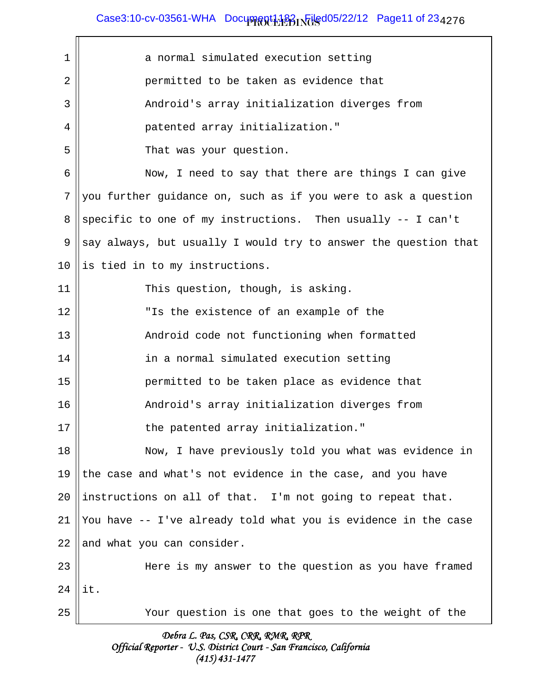# $\textsf{Case3:10-cv-03561-WHA}$  Document1182  $\textsf{PQ}$  Filed05/22/12 Page11 of 23 $_{4276}$

| 1  | a normal simulated execution setting                            |
|----|-----------------------------------------------------------------|
| 2  | permitted to be taken as evidence that                          |
| 3  | Android's array initialization diverges from                    |
| 4  | patented array initialization."                                 |
| 5  | That was your question.                                         |
| 6  | Now, I need to say that there are things I can give             |
| 7  | you further guidance on, such as if you were to ask a question  |
| 8  | specific to one of my instructions. Then usually -- I can't     |
| 9  | say always, but usually I would try to answer the question that |
| 10 | is tied in to my instructions.                                  |
| 11 | This question, though, is asking.                               |
| 12 | "Is the existence of an example of the                          |
| 13 | Android code not functioning when formatted                     |
| 14 | in a normal simulated execution setting                         |
| 15 | permitted to be taken place as evidence that                    |
| 16 | Android's array initialization diverges from                    |
| 17 | the patented array initialization."                             |
| 18 | Now, I have previously told you what was evidence in            |
| 19 | the case and what's not evidence in the case, and you have      |
| 20 | instructions on all of that. I'm not going to repeat that.      |
| 21 | You have -- I've already told what you is evidence in the case  |
| 22 | and what you can consider.                                      |
| 23 | Here is my answer to the question as you have framed            |
| 24 | it.                                                             |
| 25 | Your question is one that goes to the weight of the             |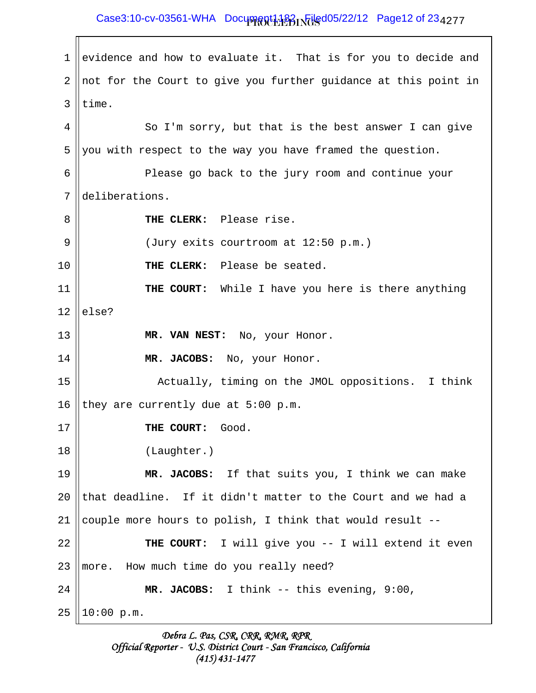# Case3:10-cv-03561-WHA Document1182 Filed05/22/12 Page12 of 23<sub>4277</sub>

1 evidence and how to evaluate it. That is for you to decide and  $2 \parallel$  not for the Court to give you further guidance at this point in  $3$  Itime. 4 || So I'm sorry, but that is the best answer I can give 5 you with respect to the way you have framed the question. 6 Please go back to the jury room and continue your 7 deliberations. 8 **THE CLERK:** Please rise. 9 || (Jury exits courtroom at 12:50 p.m.) 10 **THE CLERK:** Please be seated. 11 **THE COURT:** While I have you here is there anything  $12$  else? 13 **MR. VAN NEST:** No, your Honor. 14 **MR. JACOBS:** No, your Honor. 15 || Actually, timing on the JMOL oppositions. I think 16 they are currently due at  $5:00 \text{ p.m.}$ 17 **THE COURT:** Good. 18 (Laughter.) 19 **MR. JACOBS:** If that suits you, I think we can make 20  $\parallel$  that deadline. If it didn't matter to the Court and we had a 21 couple more hours to polish, I think that would result  $-$ -22 **THE COURT:** I will give you -- I will extend it even  $23$  ||more. How much time do you really need? 24 **MR. JACOBS:** I think -- this evening, 9:00,  $25$  ||10:00 p.m.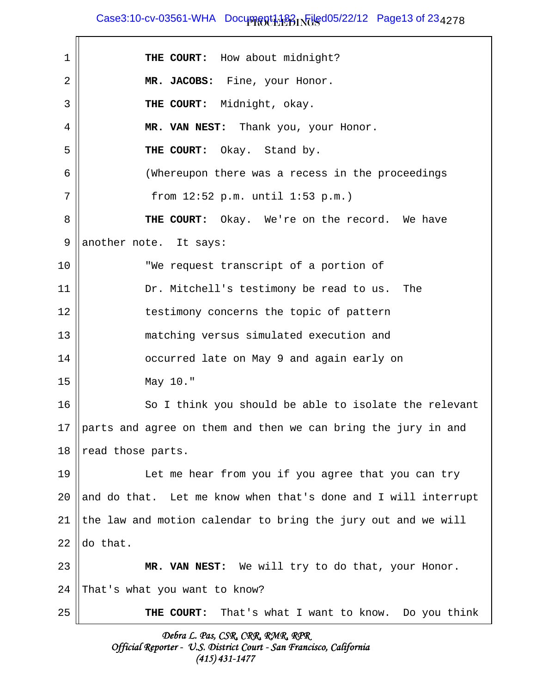$\textsf{Case3:10-cv-03561-WHA}$  Document1182  $\textsf{PQ}$  Filed05/22/12 Page13 of 23 $_{4278}$ 

1 **THE COURT:** How about midnight? 2 **MR. JACOBS:** Fine, your Honor. 3 **|| THE COURT:** Midnight, okay. 4 **MR. VAN NEST:** Thank you, your Honor. 5 **THE COURT:** Okay. Stand by. 6 (Whereupon there was a recess in the proceedings 7 || from 12:52 p.m. until 1:53 p.m.) 8 **THE COURT:** Okay. We're on the record. We have  $9$  another note. It says: 10 || We request transcript of a portion of 11 || Dr. Mitchell's testimony be read to us. The 12 || testimony concerns the topic of pattern 13 || matching versus simulated execution and 14 || colourred late on May 9 and again early on 15 May 10." 16 || So I think you should be able to isolate the relevant 17 || parts and agree on them and then we can bring the jury in and 18  $\parallel$  read those parts. 19 Let me hear from you if you agree that you can try 20  $\parallel$  and do that. Let me know when that's done and I will interrupt 21 the law and motion calendar to bring the jury out and we will 22  $\text{Ido}$  that. 23 **MR. VAN NEST:** We will try to do that, your Honor.  $24$  | That's what you want to know? 25 **THE COURT:** That's what I want to know. Do you think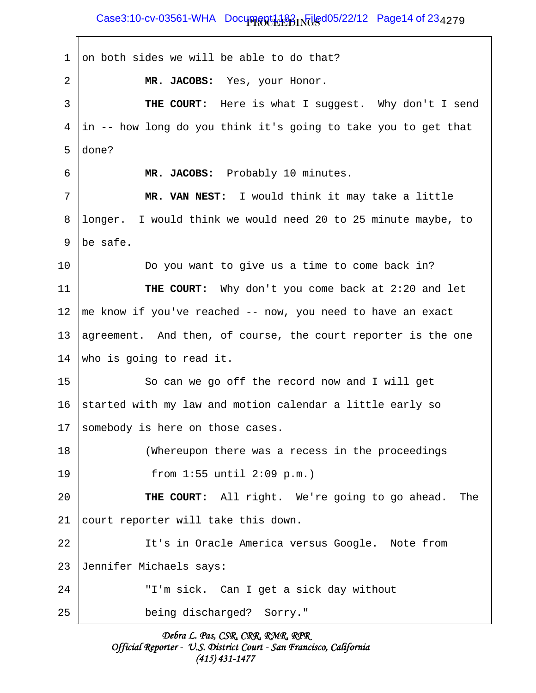Case3:10-cv-03561-WHA Document1182 Filed05/22/12 Page14 of 23<sub>4279</sub>

1 on both sides we will be able to do that? 2 **MR. JACOBS:** Yes, your Honor. 3 **THE COURT:** Here is what I suggest. Why don't I send  $4 \parallel in$  -- how long do you think it's going to take you to get that 5 done? 6 **MR. JACOBS:** Probably 10 minutes. 7 **MR. VAN NEST:** I would think it may take a little 8 || longer. I would think we would need 20 to 25 minute maybe, to 9  $\mathsf{lb}\mathsf{e}$  safe. 10 Do you want to give us a time to come back in? 11 **THE COURT:** Why don't you come back at 2:20 and let 12  $\parallel$  me know if you've reached -- now, you need to have an exact 13  $\parallel$  agreement. And then, of course, the court reporter is the one 14 who is going to read it. 15 || So can we go off the record now and I will get 16 Started with my law and motion calendar a little early so 17 Somebody is here on those cases. 18 (Whereupon there was a recess in the proceedings 19 from 1:55 until 2:09 p.m.) 20 **THE COURT:** All right. We're going to go ahead. The 21 || court reporter will take this down. 22 || It's in Oracle America versus Google. Note from 23 Jennifer Michaels says: 24 || T'm sick. Can I get a sick day without 25 being discharged? Sorry."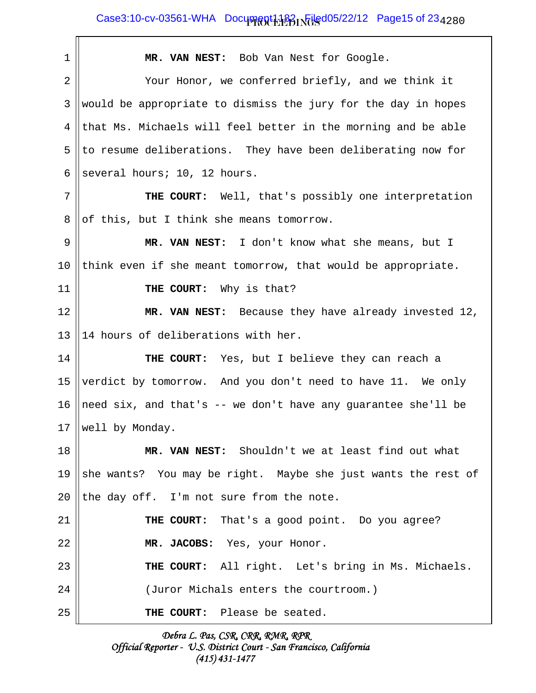$\textsf{Case3:10-cv-03561-WHA}$  Document1182  $\textsf{PQ}$  Filed05/22/12 Page15 of 23 $_{4\,2\,8\,0}$ 

| 1  | MR. VAN NEST: Bob Van Nest for Google.                        |
|----|---------------------------------------------------------------|
| 2  | Your Honor, we conferred briefly, and we think it             |
| 3  | would be appropriate to dismiss the jury for the day in hopes |
| 4  | that Ms. Michaels will feel better in the morning and be able |
| 5  | to resume deliberations. They have been deliberating now for  |
| 6  | several hours; 10, 12 hours.                                  |
| 7  | THE COURT: Well, that's possibly one interpretation           |
| 8  | of this, but I think she means tomorrow.                      |
| 9  | MR. VAN NEST: I don't know what she means, but I              |
| 10 | think even if she meant tomorrow, that would be appropriate.  |
| 11 | THE COURT: Why is that?                                       |
| 12 | MR. VAN NEST: Because they have already invested 12,          |
| 13 | 14 hours of deliberations with her.                           |
| 14 | THE COURT: Yes, but I believe they can reach a                |
| 15 | verdict by tomorrow. And you don't need to have 11. We only   |
| 16 | need six, and that's -- we don't have any guarantee she'll be |
| 17 | well by Monday.                                               |
| 18 | MR. VAN NEST: Shouldn't we at least find out what             |
| 19 | she wants? You may be right. Maybe she just wants the rest of |
| 20 | the day off. I'm not sure from the note.                      |
| 21 | <b>THE COURT:</b> That's a good point. Do you agree?          |
| 22 | MR. JACOBS: Yes, your Honor.                                  |
| 23 | THE COURT: All right. Let's bring in Ms. Michaels.            |
| 24 | (Juror Michals enters the courtroom.)                         |
| 25 | THE COURT: Please be seated.                                  |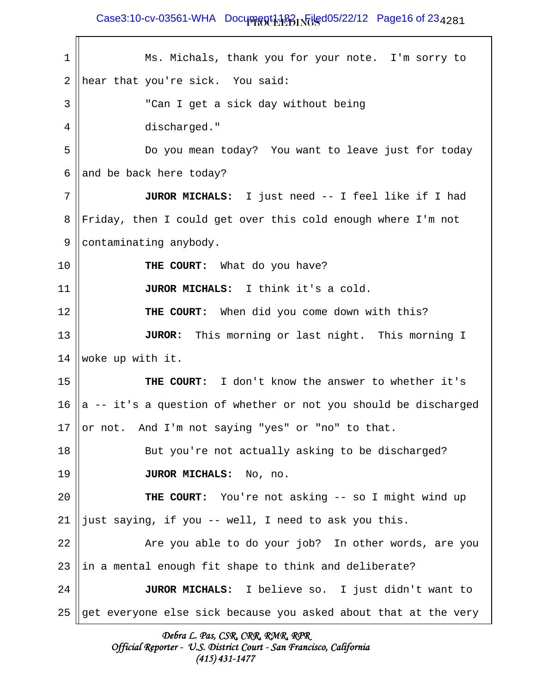## $\textsf{Case3:10-cv-03561-WHA}$  Document1182  $\textsf{PQ}$  Filed05/22/12 Page16 of 23 $_{4\,2\,8\,1}$

| 1  | Ms. Michals, thank you for your note. I'm sorry to              |
|----|-----------------------------------------------------------------|
| 2  | hear that you're sick. You said:                                |
| 3  | "Can I get a sick day without being                             |
| 4  | discharged."                                                    |
| 5  | Do you mean today? You want to leave just for today             |
| 6  | and be back here today?                                         |
| 7  | JUROR MICHALS: I just need -- I feel like if I had              |
| 8  | Friday, then I could get over this cold enough where I'm not    |
| 9  | contaminating anybody.                                          |
| 10 | THE COURT: What do you have?                                    |
| 11 | JUROR MICHALS: I think it's a cold.                             |
| 12 | THE COURT: When did you come down with this?                    |
| 13 | This morning or last night. This morning I<br><b>JUROR:</b>     |
| 14 | woke up with it.                                                |
| 15 | THE COURT: I don't know the answer to whether it's              |
| 16 | a -- it's a question of whether or not you should be discharged |
| 17 | or not. And I'm not saying "yes" or "no" to that.               |
| 18 | But you're not actually asking to be discharged?                |
| 19 | JUROR MICHALS: No, no.                                          |
| 20 | THE COURT: You're not asking -- so I might wind up              |
| 21 | just saying, if you -- well, I need to ask you this.            |
| 22 | Are you able to do your job? In other words, are you            |
| 23 | in a mental enough fit shape to think and deliberate?           |
| 24 | JUROR MICHALS: I believe so. I just didn't want to              |
| 25 | get everyone else sick because you asked about that at the very |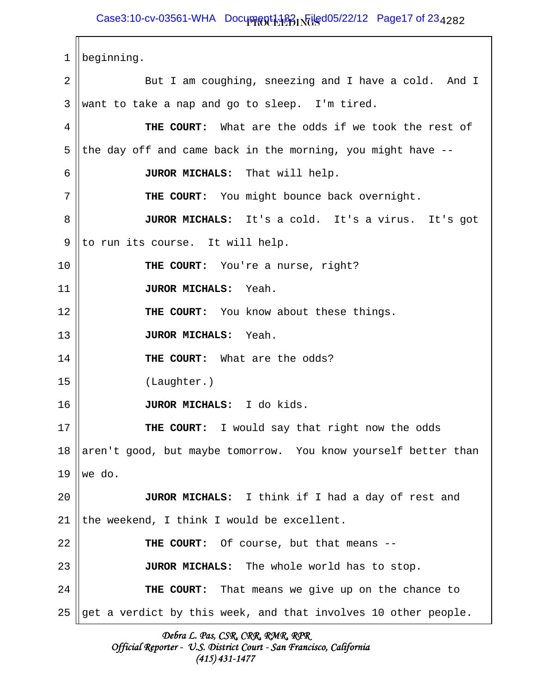## $\textsf{Case3:10-cv-03561-WHA}$  Document1182  $\textsf{PQ}$  Filed05/22/12 Page17 of 23 $_{4\,2\,8\,2}$

 1 beginning. 2 || But I am coughing, sneezing and I have a cold. And I  $3 \parallel$  want to take a nap and go to sleep. I'm tired. 4 **THE COURT:** What are the odds if we took the rest of 5 || the day off and came back in the morning, you might have  $-$ - 6 **JUROR MICHALS:** That will help. 7 || THE COURT: You might bounce back overnight. 8 **JUROR MICHALS:** It's a cold. It's a virus. It's got  $9$  ||to run its course. It will help. 10 **THE COURT:** You're a nurse, right? 11 **JUROR MICHALS:** Yeah. 12 **THE COURT:** You know about these things. 13 **JUROR MICHALS:** Yeah. 14 **THE COURT:** What are the odds? 15 (Laughter.) 16 **JUROR MICHALS:** I do kids. 17 **THE COURT:** I would say that right now the odds 18  $\parallel$  aren't good, but maybe tomorrow. You know yourself better than  $19$  we do. 20 **JUROR MICHALS:** I think if I had a day of rest and 21 the weekend, I think I would be excellent. 22 || THE COURT: Of course, but that means --23 **JUROR MICHALS:** The whole world has to stop. 24 **THE COURT:** That means we give up on the chance to 25 get a verdict by this week, and that involves 10 other people.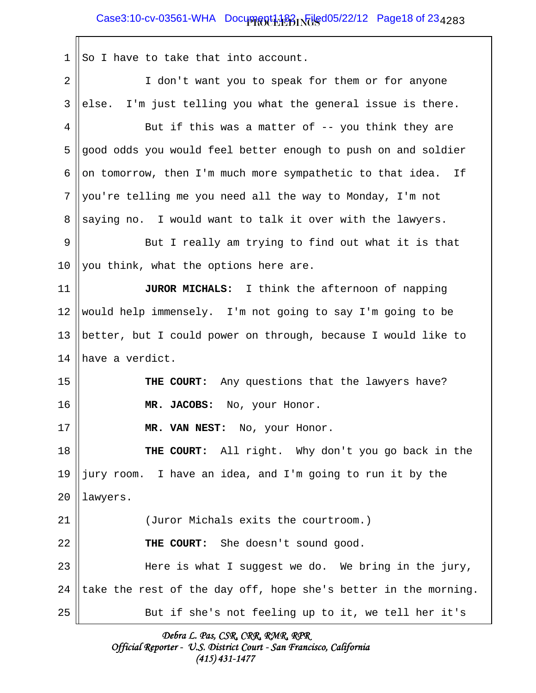## $\textsf{Case3:10-cv-03561-WHA}$  Document1182  $\textsf{PQ}$  Filed05/22/12 Page18 of 23 $_{4\,2\,8\,3}$

 $1 \parallel$  So I have to take that into account. 2 || I don't want you to speak for them or for anyone  $3$  else. I'm just telling you what the general issue is there. 4  $\parallel$  But if this was a matter of -- you think they are 5 good odds you would feel better enough to push on and soldier 6 || on tomorrow, then I'm much more sympathetic to that idea. If  $7$  ||you're telling me you need all the way to Monday, I'm not  $8 \parallel$  saying no. I would want to talk it over with the lawyers. 9 || But I really am trying to find out what it is that 10  $\parallel$  you think, what the options here are. 11 **JUROR MICHALS:** I think the afternoon of napping 12 would help immensely. I'm not going to say I'm going to be 13  $\parallel$  better, but I could power on through, because I would like to 14 have a verdict. 15 **THE COURT:** Any questions that the lawyers have? 16 **MR. JACOBS:** No, your Honor. 17 **MR. VAN NEST:** No, your Honor. 18 **THE COURT:** All right. Why don't you go back in the 19  $\parallel$  jury room. I have an idea, and I'm going to run it by the 20 | lawyers. 21 (Juror Michals exits the courtroom.) 22 **THE COURT:** She doesn't sound good. 23 Here is what I suggest we do. We bring in the jury, 24 take the rest of the day off, hope she's better in the morning. 25 || But if she's not feeling up to it, we tell her it's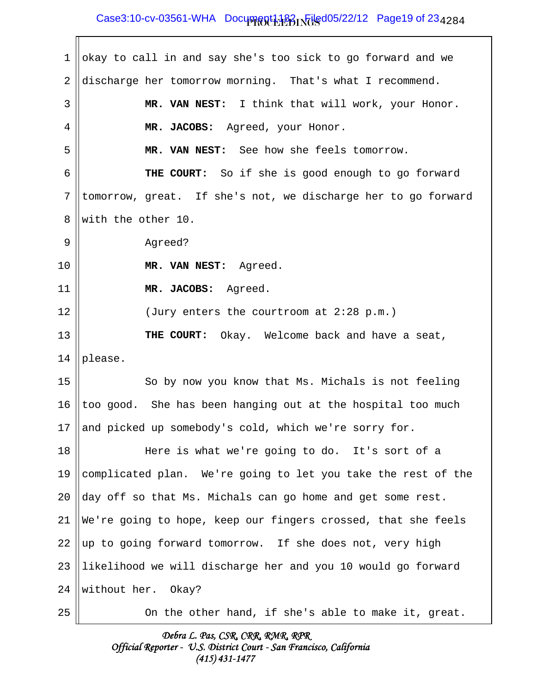## $\textsf{Case3:10-cv-03561-WHA}$  Document1182  $\textsf{PQ}$  Filed05/22/12 Page19 of 23 $_{4\,2\,8\,4}$

| 1  | okay to call in and say she's too sick to go forward and we   |
|----|---------------------------------------------------------------|
| 2  | discharge her tomorrow morning. That's what I recommend.      |
| 3  | MR. VAN NEST: I think that will work, your Honor.             |
| 4  | MR. JACOBS: Agreed, your Honor.                               |
| 5  | MR. VAN NEST: See how she feels tomorrow.                     |
| 6  | THE COURT: So if she is good enough to go forward             |
| 7  | tomorrow, great. If she's not, we discharge her to go forward |
| 8  | with the other 10.                                            |
| 9  | Agreed?                                                       |
| 10 | MR. VAN NEST: Agreed.                                         |
| 11 | MR. JACOBS: Agreed.                                           |
| 12 | (Jury enters the courtroom at 2:28 p.m.)                      |
| 13 | THE COURT: Okay. Welcome back and have a seat,                |
| 14 | please.                                                       |
| 15 | So by now you know that Ms. Michals is not feeling            |
| 16 | too good. She has been hanging out at the hospital too much   |
| 17 | and picked up somebody's cold, which we're sorry for.         |
| 18 | Here is what we're going to do. It's sort of a                |
| 19 | complicated plan. We're going to let you take the rest of the |
| 20 | day off so that Ms. Michals can go home and get some rest.    |
| 21 | We're going to hope, keep our fingers crossed, that she feels |
| 22 | up to going forward tomorrow. If she does not, very high      |
| 23 | likelihood we will discharge her and you 10 would go forward  |
| 24 | without her. Okay?                                            |
| 25 | On the other hand, if she's able to make it, great.           |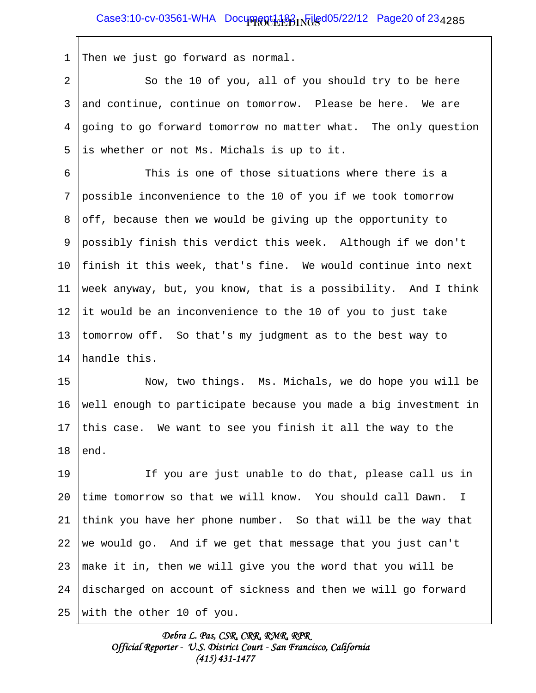1 Then we just go forward as normal.

2 || So the 10 of you, all of you should try to be here  $3 \parallel$  and continue, continue on tomorrow. Please be here. We are  $4 \parallel$  going to go forward tomorrow no matter what. The only question  $5$  || is whether or not Ms. Michals is up to it.

6 6 This is one of those situations where there is a 7 possible inconvenience to the 10 of you if we took tomorrow 8  $\vert\vert$  off, because then we would be giving up the opportunity to 9 possibly finish this verdict this week. Although if we don't 10  $\parallel$  finish it this week, that's fine. We would continue into next 11 week anyway, but, you know, that is a possibility. And I think 12 ||it would be an inconvenience to the 10 of you to just take 13 || tomorrow off. So that's my judgment as to the best way to 14 Hhandle this.

15 Now, two things. Ms. Michals, we do hope you will be 16 || well enough to participate because you made a big investment in 17 this case. We want to see you finish it all the way to the  $18$  lend.

19 If you are just unable to do that, please call us in 20  $\parallel$ time tomorrow so that we will know. You should call Dawn. I 21 || think you have her phone number. So that will be the way that 22 we would go. And if we get that message that you just can't 23  $\parallel$  make it in, then we will give you the word that you will be 24  $\parallel$  discharged on account of sickness and then we will go forward 25 With the other 10 of you.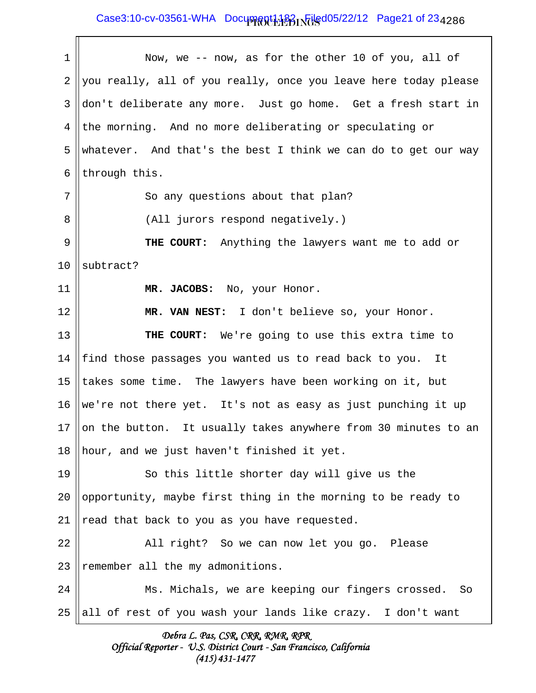### $\textsf{Case3:10-cv-03561-WHA}$  Document1182  $\textsf{PQ}$  Filed05/22/12 Page21 of 23 $_{4\,2\,8\,6}$

| 1               | Now, we -- now, as for the other 10 of you, all of              |
|-----------------|-----------------------------------------------------------------|
| 2               | you really, all of you really, once you leave here today please |
| 3               | don't deliberate any more. Just go home. Get a fresh start in   |
| 4               | the morning. And no more deliberating or speculating or         |
| 5               | whatever. And that's the best I think we can do to get our way  |
| 6               | through this.                                                   |
| 7               | So any questions about that plan?                               |
| 8               | (All jurors respond negatively.)                                |
| $\mathsf 9$     | THE COURT: Anything the lawyers want me to add or               |
| 10              | subtract?                                                       |
| 11              | MR. JACOBS: No, your Honor.                                     |
| 12              | MR. VAN NEST: I don't believe so, your Honor.                   |
| 13              | THE COURT: We're going to use this extra time to                |
| 14              | find those passages you wanted us to read back to you. It       |
| 15              | takes some time. The lawyers have been working on it, but       |
| 16              | we're not there yet. It's not as easy as just punching it up    |
| 17 <sub>2</sub> | on the button. It usually takes anywhere from 30 minutes to an  |
| 18              | hour, and we just haven't finished it yet.                      |
| 19              | So this little shorter day will give us the                     |
| 20              | opportunity, maybe first thing in the morning to be ready to    |
| 21              | read that back to you as you have requested.                    |
| 22              | All right? So we can now let you go. Please                     |
| 23              | remember all the my admonitions.                                |
| 24              | Ms. Michals, we are keeping our fingers crossed. So             |
| 25              | all of rest of you wash your lands like crazy. I don't want     |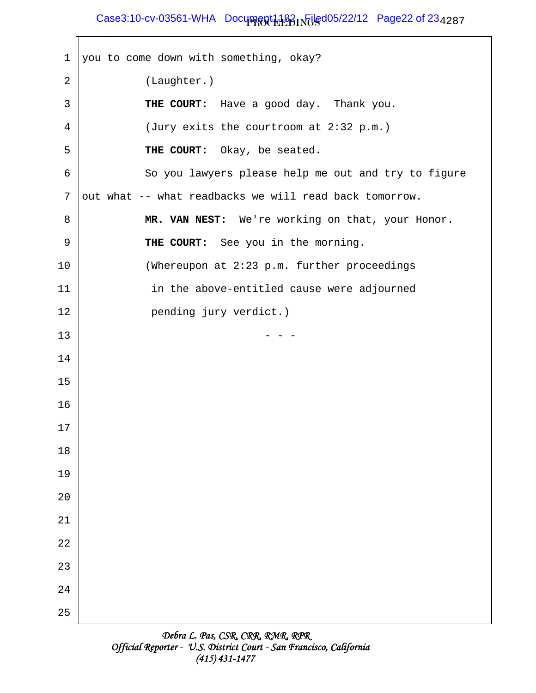# Case3:10-cv-03561-WHA Document1182 Filed05/22/12 Page22 of 23<sub>4287</sub>

 $1$  | you to come down with something, okay? 2 | (Laughter.) 3 **THE COURT:** Have a good day. Thank you. 4  $\parallel$  (Jury exits the courtroom at 2:32 p.m.) 5 **THE COURT:** Okay, be seated.  $6 \parallel$  So you lawyers please help me out and try to figure  $7$  || out what -- what readbacks we will read back tomorrow. 8 **MR. VAN NEST:** We're working on that, your Honor. 9 **THE COURT:** See you in the morning. 10 (Whereupon at 2:23 p.m. further proceedings 11 | in the above-entitled cause were adjourned 12 || pending jury verdict.)  $13 \parallel - - -$ 14 15 16 17 18 19  $2.0$ 21 22 23 24 25